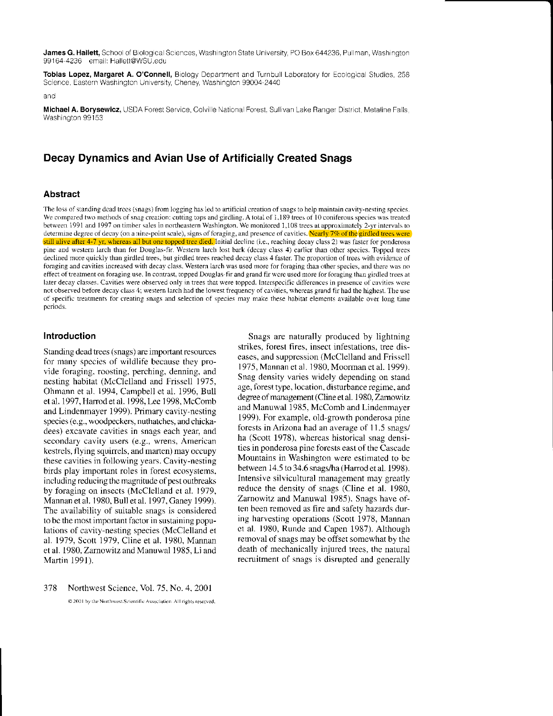James G. Hallett, School of Biological Sciences, Washington State University, PO Box 644236, Pullman, Washington 99164-4236 email: Hallett@WSU.edu

Tobias Lopez, Margaret A. O'Connell, Biology Department and Turnbull Laboratory for Ecological Studies, 258 Science, Eastern Washington University, Cheney, Washington 99004-2440

and

Michael A. Borysewicz, USDA Forest Service, Colville National Forest, Sullivan Lake Ranger District, Metaline Falls, Washington 99153

# Decay Dynamics and Avian Use of Artificially Created Snags

### **Abstract**

The loss of standing dead trees (snags) from logging has led to artificial creation of snags to help maintain cavity-nesting species. We compared two methods of snag creation: cutting tops and girdling. A total of 1,189 trees of 10 coniferous species was treated between 1991 and 1997 on timber sales in northeastern Washington. We monitored 1,108 trees at approximately 2-yr intervals to determine degree of decay (on a nine-point scale), signs of foraging, and presence of cavities. Nearly 7% of the girdled trees were still alive after 4-7 yr, whereas all but one topped tree died. Initial decline (i.e., reaching decay class 2) was faster for ponderosa pine and western larch than for Douglas-fir. Western larch lost bark (decay class 4) earlier than other species. Topped trees declined more quickly than girdled trees, but girdled trees reached decay class 4 faster. The proportion of trees with evidence of foraging and cavities increased with decay class. Western larch was used more for foraging than other species, and there was no effect of treatment on foraging use. In contrast, topped Douglas-fir and grand fir were used more for foraging than girdled trees at later decay classes. Cavities were observed only in trees that were topped. Interspecific differences in presence of cavities were not observed before decay class 4; western larch had the lowest frequency of cavities, whereas grand fir had the highest. The use of specific treatments for creating snags and selection of species may make these habitat elements available over long time periods.

### Introduction

Standing dead trees (snags) are important resources for many species of wildlife because they provide foraging, roosting, perching, denning, and nesting habitat (McClelland and Frissell 1975, Ohmann et al. 1994, Campbell et al. 1996, Bull et al. 1997, Harrod et al. 1998, Lee 1998, McComb and Lindenmayer 1999). Primary cavity-nesting species (e.g., woodpeckers, nuthatches, and chickadees) excavate cavities in snags each year, and secondary cavity users (e.g., wrens, American kestrels, flying squirrels, and marten) may occupy these cavities in following years. Cavity-nesting birds play important roles in forest ecosystems, including reducing the magnitude of pest outbreaks by foraging on insects (McClelland et al. 1979, Mannan et al. 1980, Bull et al. 1997, Ganey 1999). The availability of suitable snags is considered to be the most important factor in sustaining populations of cavity-nesting species (McClelland et al. 1979, Scott 1979, Cline et al. 1980, Mannan et al. 1980, Zarnowitz and Manuwal 1985, Li and Martin 1991).

378 Northwest Science, Vol. 75, No. 4, 2001 @ 2001 by the Northwest Scientific Association. All rights reserved.

Snags are naturally produced by lightning strikes, forest fires, insect infestations, tree diseases, and suppression (McClelland and Frissell 1975, Mannan et al. 1980, Moorman et al. 1999). Snag density varies widely depending on stand age, forest type, location, disturbance regime, and degree of management (Cline et al. 1980, Zarnowitz and Manuwal 1985, McComb and Lindenmayer 1999). For example, old-growth ponderosa pine forests in Arizona had an average of 11.5 snags/ ha (Scott 1978), whereas historical snag densities in ponderosa pine forests east of the Cascade Mountains in Washington were estimated to be between 14.5 to 34.6 snags/ha (Harrod et al. 1998). Intensive silvicultural management may greatly reduce the density of snags (Cline et al. 1980, Zarnowitz and Manuwal 1985). Snags have often been removed as fire and safety hazards during harvesting operations (Scott 1978, Mannan et al. 1980, Runde and Capen 1987). Although removal of snags may be offset somewhat by the death of mechanically injured trees, the natural recruitment of snags is disrupted and generally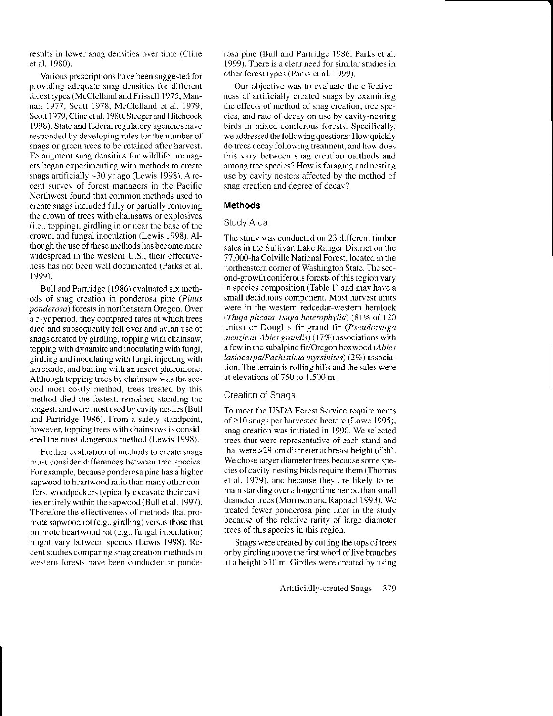results in lower snag densities over time (Cline et al. i980).

Various prcscriptions have been suggested for providing adequate snag densities for different forest types (Mcclelland and Frissell 1975, Mannan 1977, Scott 1978, McClelland et al. 1979, Scott 1979, Cline et al. 1980, Steeger and Hitchcock 1998). State and federal regulatory agencies have responded by developing rules for the number of snags or green trees to be retained after harvest. To augment snag densities for wildlife, managers began experimenting with methods to create snags artificially ~30 yr ago (Lewis 1998). A recent survey of forest managers in the Pacific Northwest found that common mcthods used to create snags included fully or partially rcmoving the crown of ffees with chainsaws or explosives (i.e., topping), girdling in or near the base of the crown, and fungal inoculation (Lewis 1998). Although the use of these methods has become more widespread in the westem U.S., their effective ness has not been well documented (Parks et al. 1999).

Bull and Partridge (1986) evaluated six methods of snag creation in ponderosa pine (Pinus ponderosa) forests in northeastern Oregon. Over a 5-yr period, they compared rates at which trees died and subsequently fell over and avian use of snags created by girdling, topping with chainsaw, topping with dynamite and inoculating with fungi, girdling and inoculating with tungi, injecting with herbicide, and baiting with an insect pheromone. Although topping trees by chainsaw was the second most costly method, trees treated by this method died the fastest. rcmained standing the longest, and were most usedby cavity nesters (Bull and Partridge 1986). From a safety standpoint, however, topping trees with chainsaws is considered the most dangerous method (Lewis 1998).

Further evaluation of methods to create snags must consider differences between tree species. For example, because ponderosa pine has a higher sapwood to heartwood ratio than many other conifers, woodpeckers typically excavate their cavities entirely within the sapwood (Bull et al. 1997). Therefore the effectiveness of methods that promote sapwood rot (e.g., girdling) versus those that promote heartwood rot (e.g., fungal inoculation) might vary between species (Lewis 1998). Recent studies comparing snag creation methods in western forests have been conducted in ponderosa pine (Bull and Panridge 1986, Parks et al. 1999). There is a clear need for similar studies in other forest types (Parks et al. 1999).

Our objective was to evaluate the effectiveness of artificially created snags by examining the effects of method of snag creation, tree species, and rate of decay on use by cavity-nesting birds in mixcd coniferous forests. Specitically. we addressed the following questions: How quickly do trees decay following treatment. and how does this vary between snag creation methods and among tree species? How is foraging and nesting use by cavity nesters affected by the method of snag creation and degree of decay?

### Methods

#### Study Area

The study was conducted on 23 different timber sales in the Sullivan Lake Ranger District on the 77,000-ha Colville National Forest, located in the northeastern corner of Washington State. The second-growth coniferous forests of this region vary in species composition (Table l) and may have a small deciduous component. Most harvest units were in the western redcedar-western hemlock (Thuja plicata-Tsuga heterophylla)  $(81\% \text{ of } 120)$ units) or Douglas-fir-grand fir (Pseudotsuga  $menziesii-Abies grandis)$  (17%) associations with a few in the subalpine fir/Oregon boxwood (Abies lasiocarpal Pachistima myrsinites) (2%) association. The terrain is rolling hills and the sales were at elevations of 750 to 1,500 m.

#### Creation of Snags

To meet the USDA Forest Service requirements of  $\geq$ 10 snags per harvested hectare (Lowe 1995), snag creation was initiated in 1990. Wc selected trees that were representative of each stand and that were  $>28$ -cm diameter at breast height (dbh). We chose larger diameter trees because some species of cavity-nesting birds require them (Thomas et al. 1979), and because they arc likely to re main standing over a longer time period than small diameter trees (Morrison and Raphael 1993). We treated fewer ponderosa pine later in the study because of the relative rarity of large diameter trees of this species in this region.

Snags were created by cutting the tops of trees or by girdling above the first whorl of live branches at a height >10 m. Girdles were created by using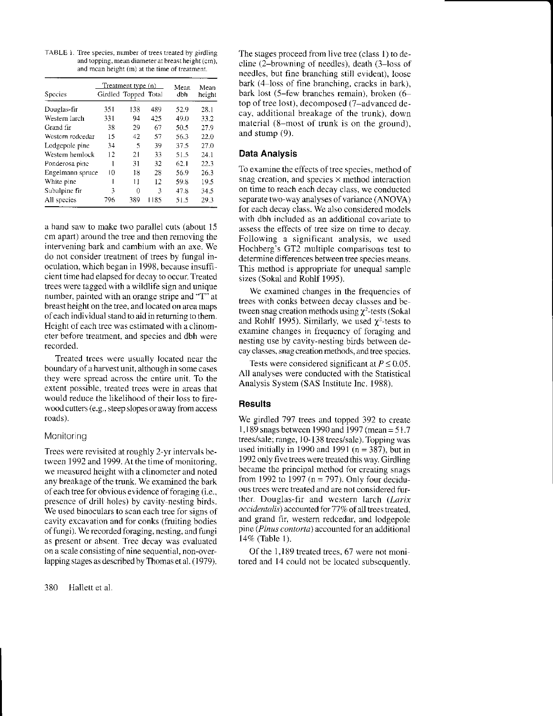TABLE 1. Tree species, number of trees treated by girdling and topping, mean diameter at breast height (cm). and mean height (m) at the time of treatment.

| Species          |     | Treatment type (n)<br>Girdled Topped Total |      | Mean<br>dbh | Mean<br>height |
|------------------|-----|--------------------------------------------|------|-------------|----------------|
| Douglas-fir      | 351 | 138                                        | 489  | 52.9        | 28.1           |
| Western larch    | 331 | 94                                         | 425  | 49.0        | 33.2           |
| Grand fir        | 38  | 29                                         | 67   | 50.5        | 27.9           |
| Western redeedar | 15  | 42                                         | 57   | 56.3        | 22.0           |
| Lodgepole pine   | 34  | 5                                          | 39   | 37.5        | 27.0           |
| Western hemlock  | 12  | 21                                         | 33   | 51.5        | 24.1           |
| Ponderosa pinc   | 1   | 31                                         | 32   | 62.1        | 22.3           |
| Engelmann spruce | 10  | 18                                         | 28   | 56.9        | 26.3           |
| White pine       |     | Ħ                                          | 12   | 59.8        | 19.5           |
| Subalpine fir    | 3   | Ū                                          | 3    | 47.8        | 34.5           |
| All species      | 796 | 389                                        | 1185 | 51.5        | 29.3           |

a hand saw to make two parallel cuts (about l5 cm apart) around the tree and then removing the intervening bark and cambium with an axe. We do not consider treatment of trees by fungal inoculation, which began in 1998, because insufficient time had elapsed for decay to occur. Treated trees were tagged with a wildlife sign and unique number. painted with an orange stripe and "T" at breast height on the tree. and located on area maps ofeach individual stand to aid in retuming to them. Height of each tree was estimated with a clinomcter befbre treatment, and species and dbh were recorded.

Treated trees wcre usually located near the boundary of a harvest unit, although in some cases they were spread across the cntire unit. To the extent possiblc. treated trees were in arcas that would reduce the likelihood of their loss to firewood cutters (e.9.. steep slopes or away from access roads).

## Monitoring

Trees were revisited at roughly 2-yr intervals between 1992 and 1999. At the time of monitoring, we measured height with a clinometer and noted any breakage of the trunk. We examined the bark of each tree for obvious evidence of foraging (i.e., presence of drill holes) by cavity-nesting birds. We used binoculars to scan each tree for signs of cavity excavation and for conks (fruiting bodies of fungi). We recorded foraging, nesting, and fungi as present or absent. Tree decay was evaluated on a scale consisting of nine sequential, non-overlapping stages as described by Thomas etal. (1979).

380 Hallett et al.

The stages proceed from live tree (class l) to decline (2-browning of needles), death (3-loss of needles, but fine branching still evident), loose bark (4–loss of fine branching, cracks in bark), bark lost (5-few branches remain), broken (6top of tree lost), decomposed (7-advanced decay, additional breakage of the trunk). down material (8-most of trunk is on the ground), and stump (9).

## Data Analysis

To examine the effects of tree species, method of snag creation, and species  $\times$  method interaction on time to reach each decay class, we conducted separate two-way analyses of variance (ANOVA) for each decay class. We also considered models with dbh included as an additional covariate to assess the effects of tree size on time to decay. Following a significant analysis, we used Hochberg's GT2 multiple comparisons test to determine differences between tree species means. This method is appropriate for unequal sample sizes (Sokal and Rohlf 1995).

We examined changes in the frequencies of trees with conks between decay classes and between snag creation methods using  $\chi^2$ -tests (Sokal and Rohlf 1995). Similarly, we used  $\chi^2$ -tests to examine changes in frequency of foraging and nesting use by cavity-nesting birds between decay classes, snag creation methods, and tree species.

Tests were considered significant at  $P \le 0.05$ . All analyses were conducted with the Statistical Analysis System (SAS Institute Inc. 1988).

# **Results**

We girdled 797 trees and topped 392 to create I,189 snags between 1990 md 1997 (mean = 5l .7 trees/sale; range, 10-138 trees/sale). Topping was used initially in 1990 and 1991 ( $n = 387$ ), but in 1992 only five trees were teated this way. Girdling became the principal method for creating snags from 1992 to 1997 ( $n = 797$ ). Only four deciduous trees were treated and are not considered further. Douglas-fir and western larch (Larix occidentalis) accounted for 77% of all trees treated. and grand fir, western redcedar, and lodgepole pine (Pinus contorta) accounted for an additional l47c (Table 1).

Of the 1,189 treated trees, 67 were not monitored and 14 could not be located subsequently.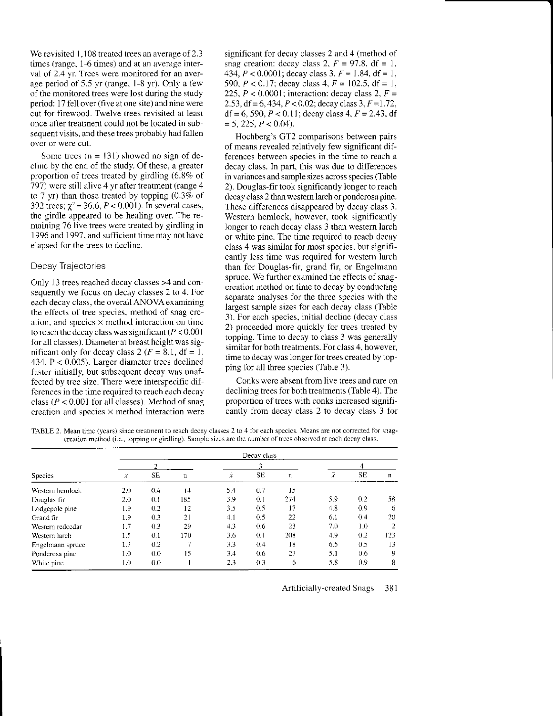We revisited 1,108 treated trees an average of 2.3 times (range, 1-6 times) and at an average interval of 2.4 yr. Trees were monitored for an average period of  $5.5$  yr (range,  $1-8$  yr). Only a few of the monitored trees were lost during the study period: 17 fell over (five at one site) and nine were cut for firewood. Twelve trees revisited at least once after treatment could not be located in subsequent visits, and these trees probably had fallen ovcr or were cut.

Some trees  $(n = 131)$  showed no sign of declinc by the end of the study. Of these, a greater proportion of trees treated by girdling  $(6.8\% \text{ of }$ 797) were still alivc 4 yr after treatment (range 4 to 7 yr) than those treated by topping  $(0.3\% \text{ of }$ 392 trees;  $\chi^2$  = 36.6, *P* < 0.001). In several cases, the girdle appeared to be healing over. The remaining 76 live trees were treated by girdling in 1996 and 1997, and sufficient time may not have elapsed for the trees to decline.

# Decay Trajectories

Only 13 trees reached decay classes  $>4$  and consequently we focus on decay classes 2 to 4. For each decay class, the overall ANOVA examining the effects of tree species, method of snag creation, and species  $\times$  method interaction on time to reach the decay class was significant  $(P < 0.001)$ for all classes). Diameter at breastheight was sig nificant only for decay class 2 ( $F = 8.1$ , df = 1, 434,  $P < 0.005$ ). Larger diameter trees declined taster initially. but subsequent decay was unaffected by tree size. There were interspecific differences in the time required to reach each decay class ( $P < 0.001$  for all classes). Method of snag creation and species  $\times$  method interaction were significant for decay classes 2 and 4 (method of snag creation: decay class 2,  $F = 97.8$ , df = 1, 434,  $P < 0.0001$ ; decay class 3,  $F = 1.84$ , df = 1, 590,  $P < 0.17$ ; decay class 4,  $F = 102.5$ , df = 1, 225,  $P < 0.0001$ ; interaction: decay class 2,  $F =$ 2.53, df = 6, 434,  $P < 0.02$ ; decay class 3,  $F = 1.72$ , df = 6, 590,  $P < 0.11$ ; decay class 4,  $F = 2.43$ , df  $= 5, 225, P < 0.04$ ).

Hochberg's GT2 comparisons between pairs of means revealed relatively few significant dif: ferences between species in the time to reach a decay class. In part, this was due to differences in variances and sample sizes across species (Table 2). Douglas-fir took significantly longer to reach decay class 2 than western larch or ponderosa pine. These differences disappeared by decay class 3. Western hemlock, however, took significantly longer to reach decay class 3 than westem larch or white pine. The time required to reach decay class 4 was similar for most species, but significantly less time was required for western larch than for Douglas-fir, grand fir. or Engelmann spruce. We further examined the effects of snagcreation method on time to decay by conducting separate analyses for the three species with the largest sample sizes for each decay class (Table 3). For each species, initial decline (decay class 2) proceeded more quickly for rees treated by topping. Time to decay to class 3 was generally similar for both treatments. For class 4, however, time to decay was longer for trees created by topping for all three species (Table 3).

Conks were absent from live trees and rare on declining trees for both treatments (Table 4). The proportion of trees with conks increased significantly from decay class 2 to decay class 3 for

TABLE 2. Mean time (years) since treatment to reach decay classes 2 to 4 for each spccies. Means are not corrected for snagcrcation nrcthod (i.e.. topping or girdling). Sample sizes arc fic numbcr of trees observed at each decay class.

|                  | Decay class |           |             |                     |     |     |           |     |                |  |  |
|------------------|-------------|-----------|-------------|---------------------|-----|-----|-----------|-----|----------------|--|--|
|                  | 2           |           |             |                     |     |     |           |     |                |  |  |
| Species          | x           | <b>SE</b> | $\mathbf n$ | $\boldsymbol{\chi}$ | SE  | n   | $\bar{x}$ | SE  | $\mathbf n$    |  |  |
| Western hemlock  | 2.0         | 0.4       | 14          | 5.4                 | 0.7 | 15  |           |     |                |  |  |
| Douglas-fir      | 2.0         | 0.1       | 185         | 3.9                 | 0.1 | 274 | 5.9       | 0.2 | 58             |  |  |
| Lodgepole pine   | 1.9         | 0.2       | 12          | 3.5                 | 0.5 | 17  | 4.8       | 0.9 | 6              |  |  |
| Grand fir        | 1.9         | 0.3       | 21          | 4.1                 | 0.5 | 22  | 6.1       | 0.4 | 20             |  |  |
| Western redcedar | 1.7         | 0.3       | 29          | 4.3                 | 0.6 | 23  | 7.0       | 1.0 | $\overline{2}$ |  |  |
| Western larch    | 1.5         | 0.1       | 170         | 3.6                 | 0.1 | 208 | 4.9       | 0.2 | 123            |  |  |
| Engelmann spruce | 1.3         | 0.2       |             | 3.3                 | 0.4 | 18  | 6.5       | 0.5 | 13             |  |  |
| Ponderosa pine   | 1.0         | 0.0       | 15          | 3.4                 | 0.6 | 23  | 5.1       | 0.6 | 9              |  |  |
| White pine       | 1.0         | 0.0       |             | 2.3                 | 0.3 | 6   | 5.8       | 0.9 | 8              |  |  |

Artificially-created Snags 381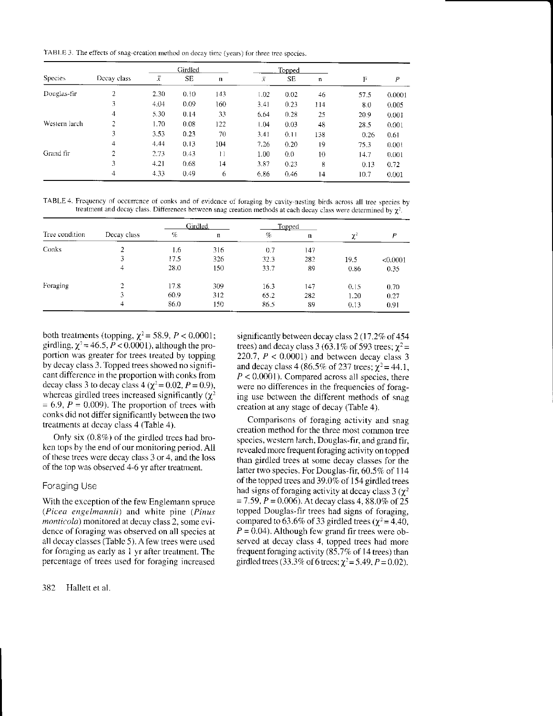TABLE 3. The effects of snag-creation method on decay time (years) for three tree species.

|                | Decay class    | Girdled        |           |     |                | <b>Topped</b> |              |      |        |
|----------------|----------------|----------------|-----------|-----|----------------|---------------|--------------|------|--------|
| <b>Species</b> |                | $\overline{x}$ | <b>SE</b> | n   | $\overline{x}$ | SE            | $\mathbf{n}$ | F    | P      |
| Douglas-fir    | $\overline{2}$ | 2.30           | 0.10      | 143 | 1.02           | 0.02          | 46           | 57.5 | 0.0001 |
|                | 3              | 4.04           | 0.09      | 160 | 3.41           | 0.23          | 114          | 8.0  | 0.005  |
|                | 4              | 5.30           | 0.14      | 33  | 6.64           | 0.28          | 25           | 20.9 | 0.001  |
| Western larch  | 2              | 1.70           | 0.08      | 122 | 1.04           | 0.03          | 48           | 28.5 | 0.001  |
|                | 3              | 3.53           | 0.23      | 70  | 3.41           | 0.11          | 138          | 0.26 | 0.61   |
|                | $\overline{4}$ | 4.44           | 0.13      | 104 | 7.26           | 0.20          | 19           | 75.3 | 0.001  |
| Grand fir      | 2              | 2.73           | 0.43      | Ħ   | 1.00           | 0.0           | 10           | 14.7 | 0.001  |
|                | 3              | 4.21           | 0.68      | 14  | 3.87           | 0.23          | 8            | 0.13 | 0.72   |
|                | 4              | 4.33           | 0.49      | 6   | 6.86           | 0.46          | 14           | 10.7 | 0.001  |

TABLE 4. Frequency of occurrence of conks and of evidence of foraging by cavity-nesting birds across all tree species by treatment and decay class. Differences between snag creation methods at each decay class were determined by  $\chi^2$ .

|                |                |      | Girdled     | <b>Topped</b> |     |          |          |
|----------------|----------------|------|-------------|---------------|-----|----------|----------|
| Tree condition | Decay class    | %    | $\mathbf n$ | %             | n   | $\chi^2$ | P        |
| Conks          |                | 1.6  | 316         | 0.7           | 147 |          |          |
|                | 3              | 17.5 | 326         | 32.3          | 282 | 19.5     | < 0.0001 |
|                | 4              | 28.0 | 150         | 33.7          | 89  | 0.86     | 0.35     |
| Foraging       | $\overline{2}$ | 17.8 | 309         | 16.3          | 147 | 0.15     | 0.70     |
|                | 3              | 60.9 | 312         | 65.2          | 282 | 1.20     | 0.27     |
|                | 4              | 86.0 | 150         | 86.5          | 89  | 0.13     | 0.91     |

both treatments (topping,  $\chi^2$  = 58.9, P < 0.0001; girdling,  $\chi^2$  = 46.5, P < 0.0001), although the proportion was greater for trees treated by topping by decay class 3. Topped trees showed no significant difference in the proportion with conks from decay class 3 to decay class 4 ( $\chi^2$  = 0.02, P = 0.9), whereas girdled trees increased significantly  $(\chi^2)$  $= 6.9, P = 0.009$ . The proportion of trees with conks did not differ significantly between the two treatments at decay class 4 (Table 4).

Only six  $(0.8\%)$  of the girdled trees had broken tops by the end of our monitoring period. All of these trees were decay class 3 or 4, and the loss of the top was observed 4-6 yr after treatment.

### Foraging Use

With the exception of the few Englemann spruce (Picea engelmannii) and white pine (Pinus monticola) monitored at decay class 2, some evidence of foraging was observed on all species at all decay classes (Table 5). A few trees were used for foraging as early as 1 yr after treatment. The percentage of trees used for foraging increased

382 Hallett et al. significantly between decay class 2 (17.2% of 454) trees) and decay class 3 (63.1% of 593 trees;  $\gamma^2$  = 220.7,  $P < 0.0001$ ) and between decay class 3 and decay class 4 (86.5% of 237 trees;  $\chi^2$  = 44.1,  $P < 0.0001$ ). Compared across all species, there were no differences in the frequencies of foraging use between the different methods of snag creation at any stage of decay (Table 4).

Comparisons of foraging activity and snag creation method for the three most common tree species, western larch, Douglas-fir, and grand fir, revealed more frequent foraging activity on topped than girdled trees at some decay classes for the latter two species. For Douglas-fir, 60.5% of 114 of the topped trees and 39.0% of 154 girdled trees had signs of foraging activity at decay class 3 ( $\gamma^2$  $= 7.59, P = 0.006$ . At decay class 4, 88.0% of 25 topped Douglas-fir trees had signs of foraging, compared to 63.6% of 33 girdled trees ( $\chi^2$  = 4.40,  $P = 0.04$ ). Although few grand fir trees were observed at decay class 4, topped trees had more frequent foraging activity  $(85.7\% \text{ of } 14 \text{ trees})$  than girdled trees (33.3% of 6 trees;  $\chi^2 = 5.49$ ,  $P = 0.02$ ).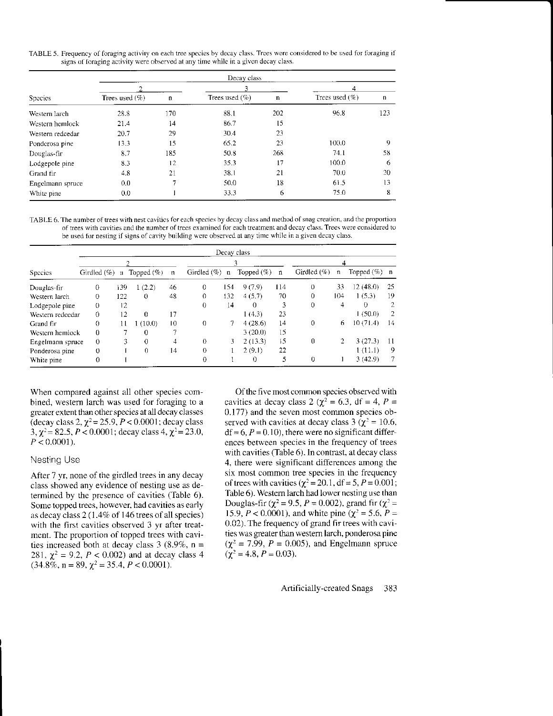TABLE 5. Frequency of foraging activity on each tree species by decay class. Trees were considered to be used for foraging if signs of foraging activity were observed at any time while in a given decay class.

| <b>Species</b>   | Decay class       |              |                   |             |                   |              |  |  |  |  |  |  |
|------------------|-------------------|--------------|-------------------|-------------|-------------------|--------------|--|--|--|--|--|--|
|                  |                   |              | 3                 |             | 4                 |              |  |  |  |  |  |  |
|                  | Trees used $(\%)$ | $\mathbf{n}$ | Trees used $(\%)$ | $\mathbf n$ | Trees used $(\%)$ | $\mathbf{n}$ |  |  |  |  |  |  |
| Western larch    | 28.8              | 170          | 88.1              | 202         | 96.8              | 123          |  |  |  |  |  |  |
| Western hemlock  | 21.4              | 14           | 86.7              | 15          |                   |              |  |  |  |  |  |  |
| Western redcedar | 20.7              | 29           | 30.4              | 23          |                   |              |  |  |  |  |  |  |
| Ponderosa pine   | 13.3              | 15           | 65.2              | 23          | 100.0             | 9            |  |  |  |  |  |  |
| Douglas-fir      | 8.7               | 185          | 50.8              | 268         | 74.1              | 58           |  |  |  |  |  |  |
| Lodgepole pine   | 8.3               | 12           | 35.3              | 17          | 100.0             | 6            |  |  |  |  |  |  |
| Grand fir        | 4.8               | 21           | 38.1              | 21          | 70.0              | 20           |  |  |  |  |  |  |
| Engelmann spruce | 0.0               |              | 50.0              | 18          | 61.5              | 13           |  |  |  |  |  |  |
| White pine       | 0.0               |              | 33.3              | 6           | 75.0              | 8            |  |  |  |  |  |  |

TABLE 6. The number of trees with nest cavities for each species by decay class and method of snag creation, and the proportion of trees with cavities and the number of trees examined for each treatment and decay class. Trees were considered to be used for nesting if signs of cavity building were observed at any time while in a given decay class.

|                  | Decay class    |              |               |                |                |                 |               |     |             |                |               |             |  |
|------------------|----------------|--------------|---------------|----------------|----------------|-----------------|---------------|-----|-------------|----------------|---------------|-------------|--|
| <b>Species</b>   |                |              |               |                |                |                 |               |     |             | 4              |               |             |  |
|                  | Girdled $(\%)$ | $\mathbf{u}$ | Topped $(\%)$ | $\mathfrak n$  | Girdled $(\%)$ | $\mathbf n$     | Topped $(\%)$ | n   | Girdled (%) | n              | Topped $(\%)$ | $\mathbf n$ |  |
| Douglas-fir      | 0              | 139          | (2.2)         | 46             | 0              | 1.54            | 9(7.9)        | 114 | 0           | 33             | 12 (48.0)     | 25          |  |
| Western larch    | 0              | 122          | $\Omega$      | 48             | 0              | 132             | 4(5.7)        | 70  | 0           | 104            | 1(5.3)        | 19          |  |
| Lodgepole pine   | $\left($       | 12           |               |                | $\Omega$       | $\overline{14}$ | $\Omega$      | 3   | 0           | 4              | $\Omega$      |             |  |
| Western redcedar | $\Omega$       | 12           | $\Omega$      | 17             |                |                 | 1(4.3)        | 23  |             |                | 1(50.0)       | 2           |  |
| Grand fir        | 0              | 11           | 1(10.0)       | $\overline{0}$ | 0              |                 | 4(28.6)       | 14  | $\Omega$    | 6              | 10(71.4)      | 14          |  |
| Western hemlock  | 0              |              | 0             |                |                |                 | 3(20.0)       | 15  |             |                |               |             |  |
| Engelmann spruce | 0              | 3            | 0             | 4              | 0              | 3               | 2(13.3)       | 15  | 0           | $\overline{2}$ | 3(27.3)       | 11          |  |
| Ponderosa pine   | 0              |              | 0             | 14             | 0              |                 | 2(9.1)        | 22  |             |                | 1(11.1)       | 9           |  |
| White pine       | 0              |              |               |                | 0              |                 | $\theta$      | 5   | 0           |                | 3(42.9)       |             |  |

When compared against all other species combined, western larch was used for foraging to a greater extent than other species at all decay classes (decay class 2,  $\chi^2$  = 25.9, *P* < 0.0001; decay class<br>3,  $\chi^2$  = 82.5, *P* < 0.0001; decay class 4,  $\chi^2$  = 23.0,  $P < 0.0001$ ).

### **Nesting Use**

After 7 yr, none of the girdled trees in any decay class showed any evidence of nesting use as determined by the presence of cavities (Table 6). Some topped trees, however, had cavities as early as decay class 2 (1.4% of 146 trees of all species) with the first cavities observed 3 yr after treatment. The proportion of topped trees with cavities increased both at decay class 3 (8.9%,  $n =$ 281,  $\chi^2 = 9.2$ ,  $P < 0.002$ ) and at decay class 4<br>(34.8%, n = 89,  $\chi^2 = 35.4$ ,  $P < 0.0001$ ).

Of the five most common species observed with cavities at decay class 2 ( $\chi^2$  = 6.3, df = 4, P = 0.177) and the seven most common species observed with cavities at decay class 3 ( $\chi^2$  = 10.6,  $df = 6, P = 0.10$ , there were no significant differences between species in the frequency of trees with cavities (Table 6). In contrast, at decay class 4, there were significant differences among the six most common tree species in the frequency of trees with cavities ( $\chi^2$  = 20.1, df = 5, P = 0.001; Table 6). Western larch had lower nesting use than Douglas-fir ( $\chi^2$  = 9.5, P = 0.002), grand fir ( $\chi^2$  = 15.9,  $P < 0.0001$ ), and white pine ( $\chi^2 = 5.6$ ,  $P =$ 0.02). The frequency of grand fir trees with cavities was greater than western larch, ponderosa pine  $(\chi^2 = 7.99, P = 0.005)$ , and Engelmann spruce  $(\chi^2 = 4.8, P = 0.03)$ .

> Artificially-created Snags 383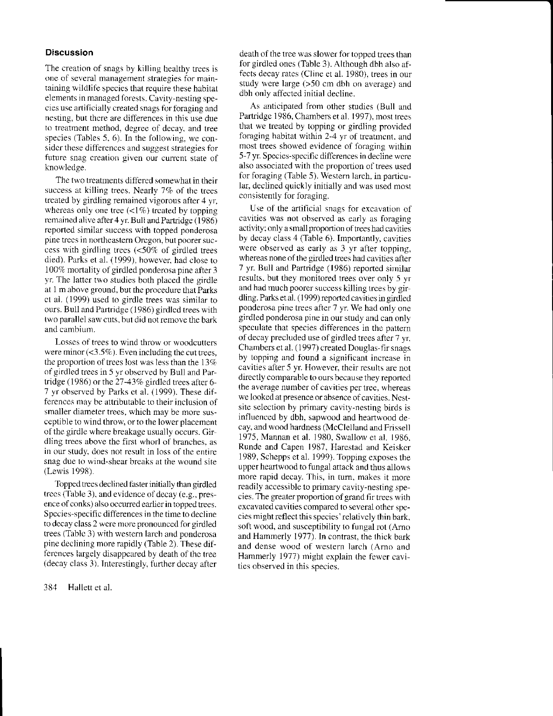### **Discussion**

The creation of snags by killing healthy trees is one of several management strategies for maintaining wildlife species that require these habitat elements in managed forests. Cavity-nesting species use artificially created snags for foraging and nesting, but there are differences in this use due to treatment method, degree of decay, and tree species (Tables 5, 6). In the following. we consider these differences and suggest strategies for future snag creation given our current state of knowledge.

The two treatments differed somewhat in their success at killing trees. Nearly 7% of the trees treated by girdling rernained vigorous after 4 yr whereas only one tree  $\left( \langle 1\% \rangle \right)$  treated by topping remained alive after 4 yr. Bull and Partridge (1986) reported similar success with topped ponderosa pine trecs in northeastern Oregon, but poorer success with girdling trees  $\langle$ <50% of girdled trees died). Parks et al. (1999), however, had close to  $100\%$  mortality of girdled ponderosa pine after 3 yr. The latter two studies both placed the girdle at I m above ground. but the procedure that Parks et al. (1999) used to girdle trees was similar to ours. Bull and Partridge (1986) girdled trees with lwo parailel saw cuts. but did notremove the bark and cambium.

Losscs of trees to wind throw or woodcutters were minor  $($ < $3.5\%$ ). Even including the cut trees, the proportion of trees lost was less than the  $13\%$ of girdled trees in 5 yr observed by Bull and Partridge (1986) or the 27-43% girdled trees after 6-7 yr observed by Parks ct al. (1999). These differences may be attributable to their inclusion of smaller diametcr trees, which may be more susceptible to wind throw, or to the lower placement of the girdle where breakage usually occurs. Girdling trees above the first whorl of branches. as in our study, does not result in loss of the entire snag due to wind-shear breaks at the wound site (Lewis 1998).

Topped trees declined faster initially than girdled trees (Table 3), and evidence of decay (e.g., presence of conks) also occurred earlier in topped trees. Spccies-specific differences in the time to decline to decay class 2 wcre more pronounced for girdJed trees (Table 3) with western larch and ponderosa pine declining more rapidly (Table 2). These differences largely disappeared by death of the tree (decay class 3). Interestingly, further decay after

384 Hallett et al.

death of the tree was slower for topped trees than for girdled ones (Table 3). Although dbh also affects decay rates (Cline et al. 1980), trees in our study wcre large (>50 cm dbh on average) and dbh only affected initial decline.

As anticipated from other srudies (Bull and Partridge 1986, Chambers et al. 1997), most trees that we treated by topping or girdling provided foraging habitat within 2-4 yr of treatmcnt. and most trees showed evidence of foraging within 5 7 yr Species-specific differences in decline wcre also associated with the proportion of trees used for foraging (Table 5). Western larch, in particular. declined quickly initially and was used most consistently for foraging.

Use of the artificial snags for excavation of cavities was not observed as early as foraging activity; only a small proportion of trees had cavities by decay class 4 (Tab1e 6). Importantly, cavities were observed as early as 3 yr after topping, whereas none of the girdled trees had cavities after 7 yr. Bull and Partridge (1986) reported similar results, but they monitored trees over only 5 yr and had much poorer success killing trees by girdling. Parks et al. (1999) reported cavities in girdled ponderosa pine trees after 7 yr We had only one girdled ponderosa pine in our study and can only speculate that species differences in the pattern of decay precluded use of girdled trees after 7 yr. Chambers et al. (1997) created Douglas-fir snags by topping and found a significant increase in cavities after 5 yr. However. their results are not directly comparable to ours because they reported the average number of cavities per tree, whereas we looked at presence or absence of cavities. Nestsite selection by primary cavity-nesting birds is influenced by dbh, sapwood and heartwood de cay, and wood hardness (McClelland and Frissell 1975, Mannan et al. 1980, Swallow et al. 1986. Runde and Capen 1987. Harestad and Keiskcr 1989, Schepps et al. 1999). Topping exposes rhe upper heartwood to fungal attack and thus allows nore rapid decay. This, in tum. makcs it more readily accessible to primary cavity-nesting species. The greater proportion ofgrand fir trees with excavated cavities compared to several other species might reflect this species' relatively thin bark. soft wood, and susceptibility to fungal rot (Arno and Hammerly 1977). In contrast, the thick bark and dense wood of western larch (Arno and Hammerly 1977) might explain the fewer cavities observed in this species.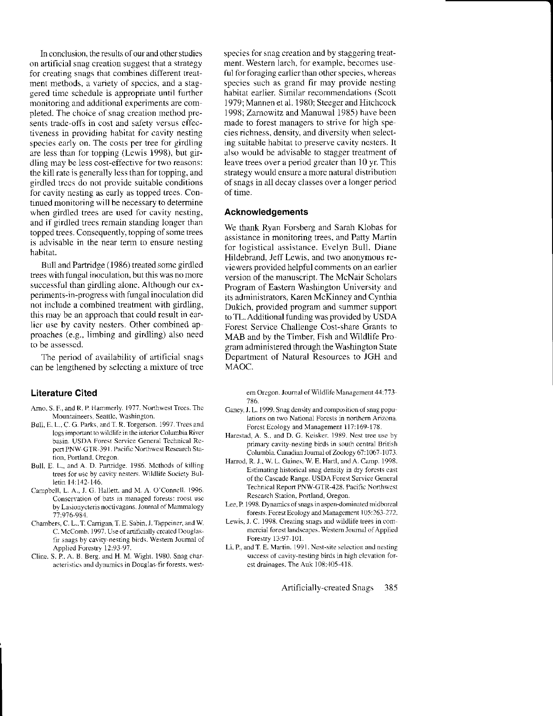In conclusion, the results of our and other studies on artificial snag creation suggest that a strategy for creating snags that conbines different treatment methods, a variety of species, and a staggered time schedule is appropriate until further monitoring and additional experiments are completed. The choice of snag creation method presents trade-offs in cost and safety versus effectiveness in providing habitat for cavity nesting species early on. The costs per tree for girdling are less than for topping (Lewis 1998), but girdling may be less cost-eflective for two reasons: the kill rate is generally less than for topping, and girdled trees do not provide suitable conditions for cavity nesting as early as topped trees. Con tinued monitoring will be necessary to determine when girdled trees are used for cavity nesting. and if girdled trees remain standing longer than topped trees. Consequently, topping of some trees is advisable in the near term to ensure nesting habitat.

Bull and Partridge (1986) treated some girdled trees with fungal inoculation, but this was no more successful than girdling alone. Although our experiments-in-progress with fungal inoculation did not include a combined treatment with girdling. this may be an approach that could result in earlier use by cavity nesters. Other combined ap proaches (e.g.. limbing and girdling) also need to be assesscd.

The period of availability of artificial snags can be lengthened by selecting a mixture of tree

# Literature Cited

- Amo, S. F., and R. P. Hammerly. 1977. Northwest Trees. The Mountaineers, Seattle, Washington.
- Bull, E. L., C. G. Parks, and T. R. Torgerson. 1997. Trees and logs important to wildlife in the interior Columbia River basin. USDA Forest Service General Technical Report PNW-GTR-391. Pacific Northwest Research Station, Portland. Oregon.
- Bull, E. L., and A. D. Partridge. 1986. Methods of killing trees for use by cavity nesters. Wildlife Society Bulletin 14:142-146.
- Campbell, L. A., J. G. Hallett, and M. A. O'Connell. 1996. Conscrvation of bats in managed forests: roost use by Lasionycteris noctivagans. Journal of Mammalogy 77:976-984.
- Chambers, C. L., T. Carrigan, T. E. Sabin, J. Tappeiner, and W. C. McComb. 1997. Use of artificially created Douglasfir snags by cavity-nesting birds. Western Journal of Applied Forestry 12:93-97.
- Clire. S. P. A. B. Berg, and H. M. Wighr. 1980. Snag char acteristics and dynamics in Douglas-fir forests, west-

species for snag creation and by staggering treatment. Western larch, for example, becomes useful for foraging earlier than other species, whereas species such as grand fir may provide nesting habitat earlier. Similar recommendations (Scott 1979; Mannen et al. 1980; Steeger and Hitchcock 1998; Zamowitz and Manuwal 1985) have been made to forest managers to strive for high species richness. density, and diversity when selecting suitable habitat to preserve cavity ncsters. lt also would be advisable to stagger treatment of leave trees over a period greater than 10 yr. This strategy would ensure a morc natural distribution of snags in all decay classes over a longer period of time.

#### Acknowledgements

We thank Ryan Forsberg and Sarah Klobas for assistance in monitoring trees, and Patty Martin for logistical assistance. Evelyn Bull. Diane Hildebrand, Jeff Lewis, and two anonymous reviewers provided helpful comments on an earlier version of the manuscript. The McNair Scholars Program of Eastem Washington University and its administrators, Karen McKinney and Cynthia Dukich, provided program and summer support toTL. Additional funding was provided by USDA Forest Service Challenge Cost-share Grants to MAB and by the Timber, Fish and Wildlife Program administered through the Washington State Department of Natural Resources to JGH and MAOC.

ern Oregon. Journal of Wildlife Management 44:773-186.

- Ganey, J. L. 1999. Snag density and composition of snag populations on two National Forests in northern Arizona. Forcst Ecology and Management i 17:169-178.
- Harestad, A. S., and D. G. Keisker. 1989. Nest tree use by primary cavity-nesting birds in south central British Columbia. Canadian Journal of Zoology 67:1067-1073.
- Harrod, R. J., W. L. Gaines, W. E. Hartl, and A. Camp. 1998. Estimating historical snag density in dry forcsts cast of the Cascade Range. USDA Forest Service General Technical Report PNW-GTR-428. Pacific Northwest Research Station, Portland, Oregon.
- Lee, P. 1998. Dynamics of snags in aspen-dominated midboreal forests. Forest Ecology and Management 105:263-272.
- Lewis, J. C. 1998. Creating snags and wildlife trees in commercial forest landscapes. Western Journal of Applied Forestry 13:97-101.
- Li. P, and T. E. Martin. 1991. Nest-site selection and nesting success of cavity-nesting birds in high elevation forest drainages. The Auk 108:405-418.